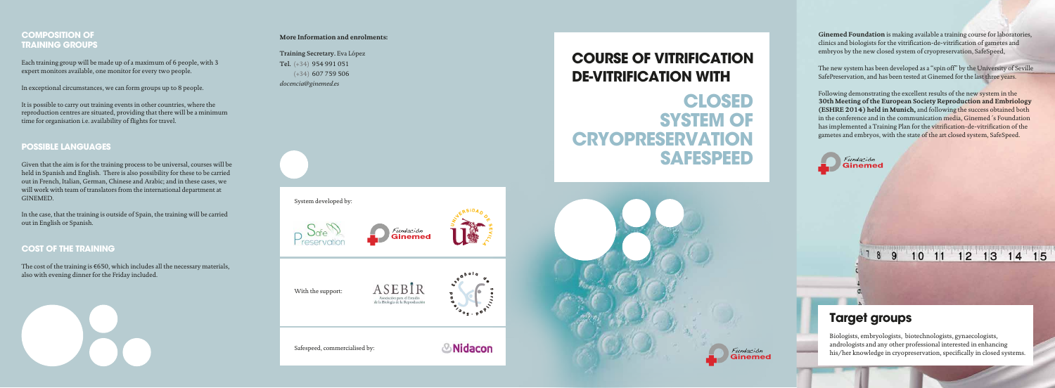System developed by:



With the support:

Safespeed, commercialised by:



**Ginemed Foundation** is making available a training course for laboratories, clinics and biologists for the vitrification-de-vitrification of gametes and embryos by the new closed system of cryopreservation, SafeSpeed,

The new system has been developed as a "spin off" by the University of Seville SafePreservation, and has been tested at Ginemed for the last three years.

Following demonstrating the excellent results of the new system in the **30th Meeting of the European Society Reproduction and Embriology (ESHRE 2014) held in Munich,** and following the success obtained both in the conference and in the communication media, Ginemed´s Foundation has implemented a Training Plan for the vitrification-de-vitrification of the gametes and embryos, with the state of the art closed system, SafeSpeed.



# **COMPOSITION OF TRAINING GROUPS**

Each training group will be made up of a maximum of 6 people, with 3 expert monitors available, one monitor for every two people.

In exceptional circumstances, we can form groups up to 8 people.

It is possible to carry out training events in other countries, where the reproduction centres are situated, providing that there will be a minimum time for organisation i.e. availability of flights for travel.

# **POSSIBLE LANGUAGES**

Given that the aim is for the training process to be universal, courses will be held in Spanish and English. There is also possibility for these to be carried out in French, Italian, German, Chinese and Arabic; and in these cases, we will work with team of translators from the international department at GINEMED.

In the case, that the training is outside of Spain, the training will be carried out in English or Spanish.

# **COST OF THE TRAINING**

The cost of the training is €650, which includes all the necessary materials, also with evening dinner for the Friday included.



# **Target groups**

8 9

Biologists, embryologists, biotechnologists, gynaecologists, andrologists and any other professional interested in enhancing his/her knowledge in cryopreservation, specifically in closed systems.

 $10$  11 12 13 14 15



# **COURSE OF VITRIFICATION**



# **DE-VITRIFICATION WITH CLOSED SYSTEM OF CRYOPRESERVATION SAFESPEED**

### **More Information and enrolments:**

Training Secretary. Eva López Tel. (+34) 954 991 051 (+34) 607 759 506 *docencia@ginemed.es* 







ASEBIR Asociación para el Estudio<br>de la Biología de la Reproducción